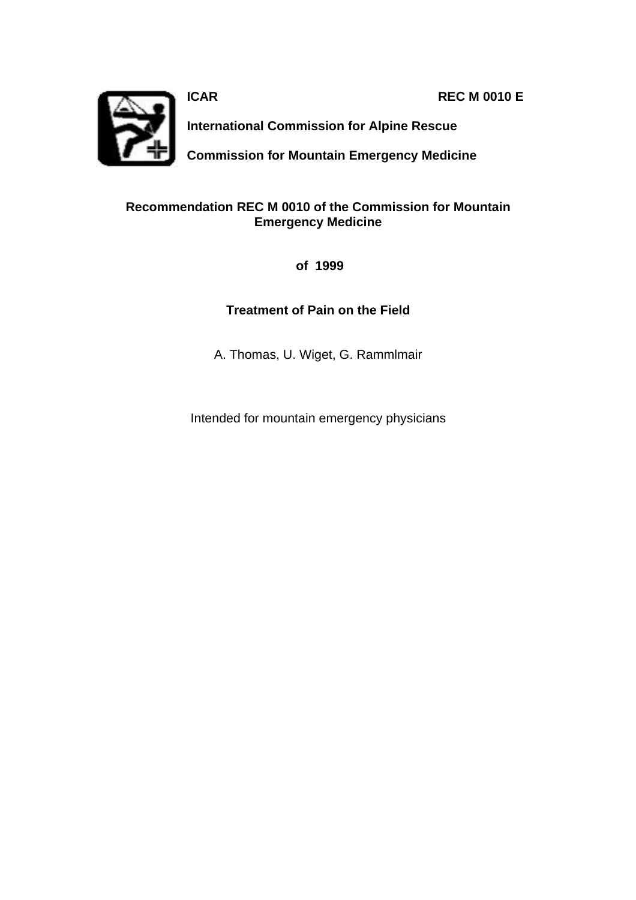**ICAR REC M 0010 E** 



**International Commission for Alpine Rescue**

**Commission for Mountain Emergency Medicine**

### **Recommendation REC M 0010 of the Commission for Mountain Emergency Medicine**

 **of 1999**

## **Treatment of Pain on the Field**

A. Thomas, U. Wiget, G. Rammlmair

Intended for mountain emergency physicians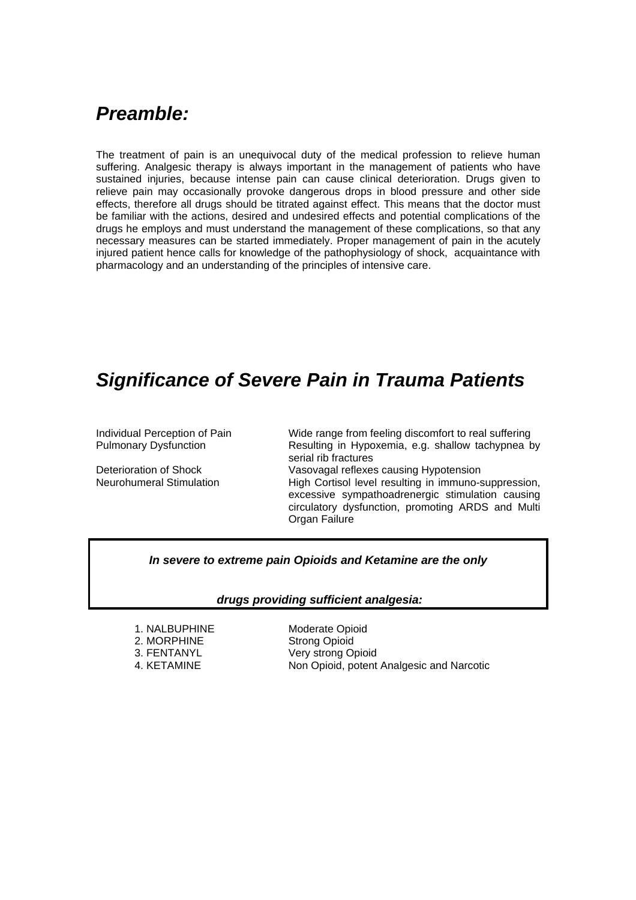# *Preamble:*

The treatment of pain is an unequivocal duty of the medical profession to relieve human suffering. Analgesic therapy is always important in the management of patients who have sustained injuries, because intense pain can cause clinical deterioration. Drugs given to relieve pain may occasionally provoke dangerous drops in blood pressure and other side effects, therefore all drugs should be titrated against effect. This means that the doctor must be familiar with the actions, desired and undesired effects and potential complications of the drugs he employs and must understand the management of these complications, so that any necessary measures can be started immediately. Proper management of pain in the acutely injured patient hence calls for knowledge of the pathophysiology of shock, acquaintance with pharmacology and an understanding of the principles of intensive care.

## *Significance of Severe Pain in Trauma Patients*

Individual Perception of Pain Wide range from feeling discomfort to real suffering Pulmonary Dysfunction Resulting in Hypoxemia, e.g. shallow tachypnea by serial rib fractures Deterioration of Shock Vasovagal reflexes causing Hypotension Neurohumeral Stimulation High Cortisol level resulting in immuno-suppression,

excessive sympathoadrenergic stimulation causing circulatory dysfunction, promoting ARDS and Multi Organ Failure

### *In severe to extreme pain Opioids and Ketamine are the only*

### *drugs providing sufficient analgesia:*

2. MORPHINE Strong Opioid

1. NALBUPHINE Moderate Opioid 3. FENTANYL Very strong Opioid 4. KETAMINE Non Opioid, potent Analgesic and Narcotic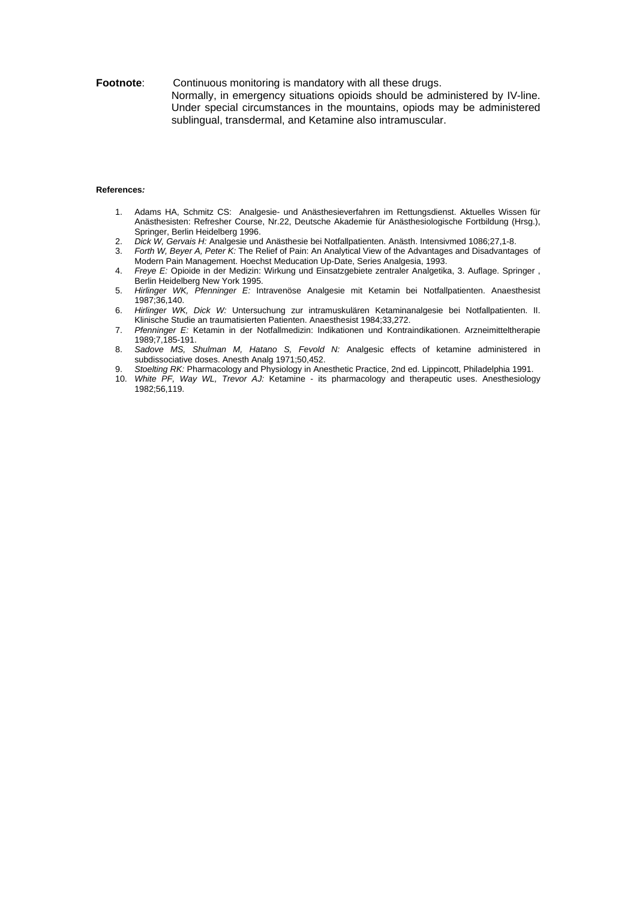#### **Footnote:** Continuous monitoring is mandatory with all these drugs. Normally, in emergency situations opioids should be administered by IV-line. Under special circumstances in the mountains, opiods may be administered sublingual, transdermal, and Ketamine also intramuscular.

#### **References***:*

- 1. Adams HA, Schmitz CS: Analgesie- und Anästhesieverfahren im Rettungsdienst. Aktuelles Wissen für Anästhesisten: Refresher Course, Nr.22, Deutsche Akademie für Anästhesiologische Fortbildung (Hrsg.), Springer, Berlin Heidelberg 1996.
- 2. *Dick W, Gervais H:* Analgesie und Anästhesie bei Notfallpatienten. Anästh. Intensivmed 1086;27,1-8.
- Forth W, Beyer A, Peter K: The Relief of Pain: An Analytical View of the Advantages and Disadvantages of Modern Pain Management. Hoechst Meducation Up-Date, Series Analgesia, 1993.
- 4. *Freye E:* Opioide in der Medizin: Wirkung und Einsatzgebiete zentraler Analgetika, 3. Auflage. Springer , Berlin Heidelberg New York 1995.
- 5. *Hirlinger WK, Pfenninger E:* Intravenöse Analgesie mit Ketamin bei Notfallpatienten. Anaesthesist 1987;36,140.
- 6. *Hirlinger WK, Dick W:* Untersuchung zur intramuskulären Ketaminanalgesie bei Notfallpatienten. II. Klinische Studie an traumatisierten Patienten. Anaesthesist 1984;33,272.
- 7. *Pfenninger E:* Ketamin in der Notfallmedizin: Indikationen und Kontraindikationen. Arzneimitteltherapie 1989;7,185-191.
- 8. *Sadove MS, Shulman M, Hatano S, Fevold N:* Analgesic effects of ketamine administered in subdissociative doses. Anesth Analg 1971;50,452.
- 9. *Stoelting RK:* Pharmacology and Physiology in Anesthetic Practice, 2nd ed. Lippincott, Philadelphia 1991.
- 10. *White PF, Way WL, Trevor AJ:* Ketamine its pharmacology and therapeutic uses. Anesthesiology 1982;56,119.